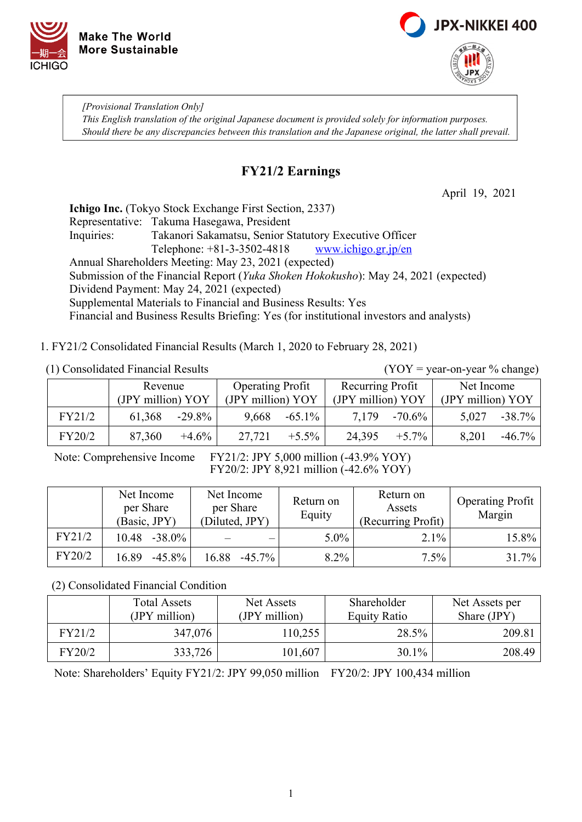



*[Provisional Translation Only] This English translation of the original Japanese document is provided solely for information purposes. Should there be any discrepancies between this translation and the Japanese original, the latter shall prevail.*

# **FY21/2 Earnings**

April 19, 2021

Net Income (JPY million) YOY

**Ichigo Inc.** (Tokyo Stock Exchange First Section, 2337) Representative: Takuma Hasegawa, President Inquiries: Takanori Sakamatsu, Senior Statutory Executive Officer Telephone: +81-3-3502-4818 [www.ichigo.gr.jp/en](https://www.ichigo.gr.jp/en) Annual Shareholders Meeting: May 23, 2021 (expected) Submission of the Financial Report (*Yuka Shoken Hokokusho*): May 24, 2021 (expected) Dividend Payment: May 24, 2021 (expected) Supplemental Materials to Financial and Business Results: Yes Financial and Business Results Briefing: Yes (for institutional investors and analysts)

1. FY21/2 Consolidated Financial Results (March 1, 2020 to February 28, 2021)

 (1) Consolidated Financial Results (YOY = year-on-year % change) Revenue (JPY million) YOY Operating Profit (JPY million) YOY Recurring Profit (JPY million) YOY FY21/2 | 61,368 -29.8% 9,668 -65.1% 7,179 -70.6% 5,027 -38.7%

Note: Comprehensive Income FY21/2: JPY 5,000 million (-43.9% YOY) FY20/2: JPY 8,921 million (-42.6% YOY)

|        | Net Income<br>per Share<br>(Basic, JPY) | Net Income<br>per Share<br>(Diluted, JPY) | Return on<br>Equity | Return on<br>Assets<br>(Recurring Profit) | <b>Operating Profit</b><br>Margin |
|--------|-----------------------------------------|-------------------------------------------|---------------------|-------------------------------------------|-----------------------------------|
| FY21/2 | 10.48<br>$-38.0\%$                      |                                           | $5.0\%$             | $2.1\%$                                   | 15.8%                             |
| FY20/2 | 16.89<br>$-45.8\%$                      | 16.88<br>$-45.7\%$                        | 8.2%                | $7.5\%$                                   | $31.7\%$                          |

FY20/2 | 87,360 +4.6% 27,721 +5.5% 24,395 +5.7% 8,201 -46.7%

(2) Consolidated Financial Condition

|        | <b>Total Assets</b><br>(JPY million) | Net Assets<br>(JPY million) | Shareholder<br><b>Equity Ratio</b> | Net Assets per<br>Share (JPY) |
|--------|--------------------------------------|-----------------------------|------------------------------------|-------------------------------|
| FY21/2 | 347,076                              | 110,255                     | 28.5%                              | 209.81                        |
| FY20/2 | 333,726                              | 101,607                     | $30.1\%$                           | 208.49                        |

Note: Shareholders' Equity FY21/2: JPY 99,050 million FY20/2: JPY 100,434 million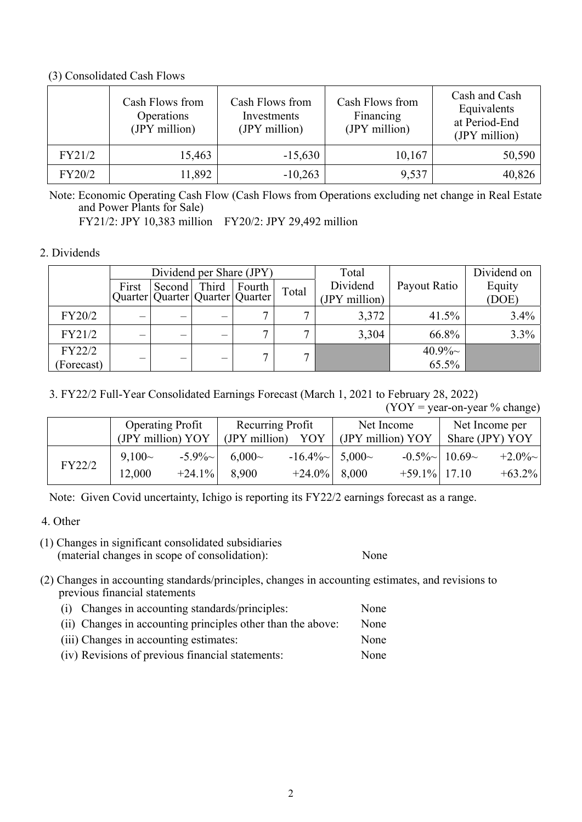#### (3) Consolidated Cash Flows

|        | Cash Flows from<br>Operations<br>(JPY million) | Cash Flows from<br>Investments<br>(JPY million) | Cash Flows from<br>Financing<br>(JPY million) | Cash and Cash<br>Equivalents<br>at Period-End<br>(JPY million) |
|--------|------------------------------------------------|-------------------------------------------------|-----------------------------------------------|----------------------------------------------------------------|
| FY21/2 | 15,463                                         | $-15,630$                                       | 10,167                                        | 50,590                                                         |
| FY20/2 | 11,892                                         | $-10,263$                                       | 9,537                                         | 40,826                                                         |

Note: Economic Operating Cash Flow (Cash Flows from Operations excluding net change in Real Estate and Power Plants for Sale)

FY21/2: JPY 10,383 million FY20/2: JPY 29,492 million

## 2. Dividends

|            | Dividend per Share (JPY) |        |       | Total                                           |              | Dividend on               |              |                 |
|------------|--------------------------|--------|-------|-------------------------------------------------|--------------|---------------------------|--------------|-----------------|
|            | First                    | Second | Third | Fourth<br>Quarter   Quarter   Quarter   Quarter | Total        | Dividend<br>(JPY million) | Payout Ratio | Equity<br>(DOE) |
| FY20/2     |                          |        |       |                                                 | ~            | 3,372                     | 41.5%        | 3.4%            |
| FY21/2     |                          |        |       | $\mathbf{r}$                                    | $\mathbf{r}$ | 3,304                     | 66.8%        | 3.3%            |
| FY22/2     |                          |        |       |                                                 |              |                           | $40.9\%$ ~   |                 |
| (Forecast) |                          |        |       |                                                 |              |                           | 65.5%        |                 |

## 3. FY22/2 Full-Year Consolidated Earnings Forecast (March 1, 2021 to February 28, 2022)

 $(YOY = \text{year-on-year } \% \text{ change})$ 

|        | <b>Operating Profit</b><br>(JPY million) YOY |                       | (JPY million)     | Recurring Profit<br>YOY                          | Net Income<br>(JPY million) YOY |                    | Net Income per<br>Share (JPY) YOY |
|--------|----------------------------------------------|-----------------------|-------------------|--------------------------------------------------|---------------------------------|--------------------|-----------------------------------|
| FY22/2 | $9,100-$<br>12,000                           | $-5.9\%$<br>$+24.1\%$ | $6,000-$<br>8,900 | $-16.4\%$ $\sim$ 5,000 $\sim$<br>$+24.0\%$ 8,000 | $+59.1\%$ 17.10                 | $-0.5\%$   10.69 ~ | $+2.0\%$ ~<br>$+63.2\%$           |

Note: Given Covid uncertainty, Ichigo is reporting its FY22/2 earnings forecast as a range.

### 4. Other

(1) Changes in significant consolidated subsidiaries (material changes in scope of consolidation): None

- (2) Changes in accounting standards/principles, changes in accounting estimates, and revisions to previous financial statements
	- (i) Changes in accounting standards/principles: None
	- (ii) Changes in accounting principles other than the above: None
	- (iii) Changes in accounting estimates: None (iv) Revisions of previous financial statements: None
	-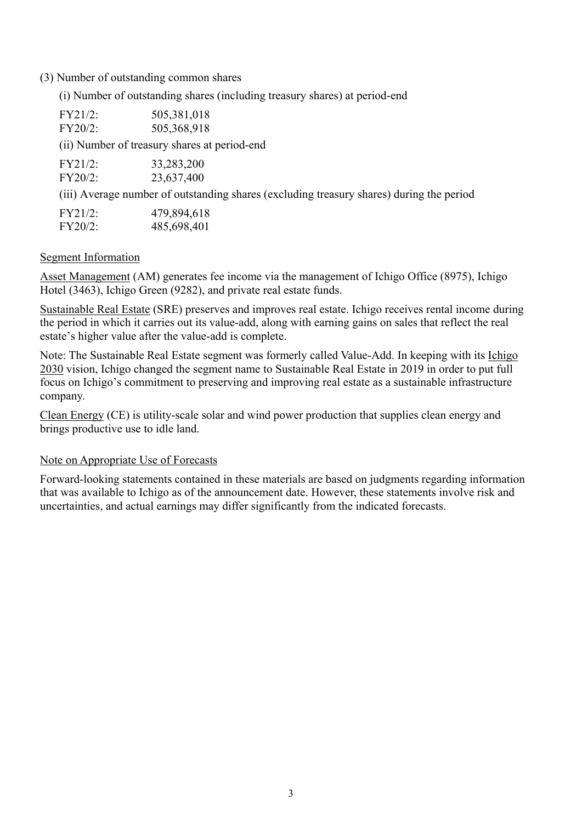#### (3) Number of outstanding common shares

(i) Number of outstanding shares (including treasury shares) at period-end

| FY21/2:<br>FY20/2: | 505,381,018<br>505,368,918                                                               |
|--------------------|------------------------------------------------------------------------------------------|
|                    | (ii) Number of treasury shares at period-end                                             |
| FY21/2:<br>FY20/2: | 33,283,200<br>23,637,400                                                                 |
|                    | (iii) Average number of outstanding shares (excluding treasury shares) during the period |
| $FY21/2$ :         | 479,894,618                                                                              |

Segment Information

FY20/2: 485,698,401

Asset Management (AM) generates fee income via the management of Ichigo Office (8975), Ichigo Hotel (3463), Ichigo Green (9282), and private real estate funds.

Sustainable Real Estate (SRE) preserves and improves real estate. Ichigo receives rental income during the period in which it carries out its value-add, along with earning gains on sales that reflect the real estate's higher value after the value-add is complete.

Note: The Sustainable Real Estate segment was formerly called Value-Add. In keeping with its Ichigo 2030 vision, Ichigo changed the segment name to Sustainable Real Estate in 2019 in order to put full focus on Ichigo's commitment to preserving and improving real estate as a sustainable infrastructure company.

Clean Energy (CE) is utility-scale solar and wind power production that supplies clean energy and brings productive use to idle land.

### Note on Appropriate Use of Forecasts

Forward-looking statements contained in these materials are based on judgments regarding information that was available to Ichigo as of the announcement date. However, these statements involve risk and uncertainties, and actual earnings may differ significantly from the indicated forecasts.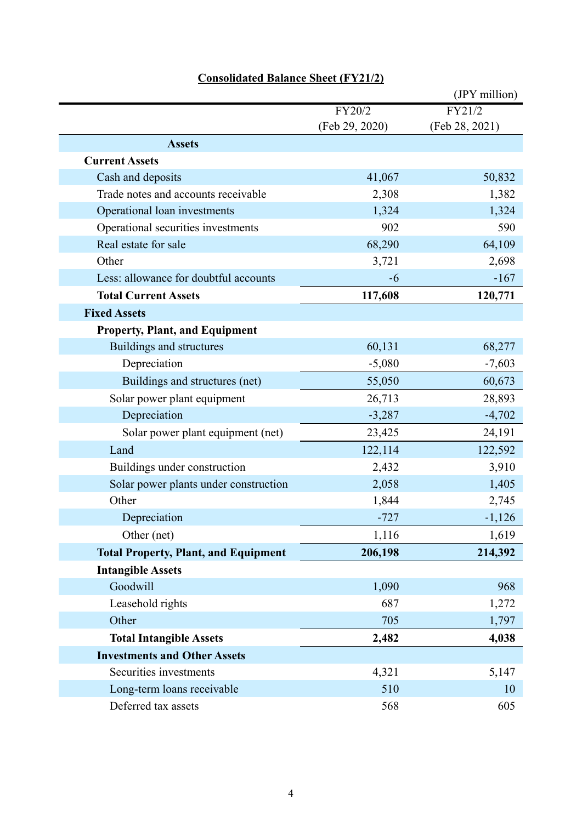|                                             |                | (JPY million)  |
|---------------------------------------------|----------------|----------------|
|                                             | FY20/2         | FY21/2         |
|                                             | (Feb 29, 2020) | (Feb 28, 2021) |
| <b>Assets</b>                               |                |                |
| <b>Current Assets</b>                       |                |                |
| Cash and deposits                           | 41,067         | 50,832         |
| Trade notes and accounts receivable         | 2,308          | 1,382          |
| Operational loan investments                | 1,324          | 1,324          |
| Operational securities investments          | 902            | 590            |
| Real estate for sale                        | 68,290         | 64,109         |
| Other                                       | 3,721          | 2,698          |
| Less: allowance for doubtful accounts       | -6             | $-167$         |
| <b>Total Current Assets</b>                 | 117,608        | 120,771        |
| <b>Fixed Assets</b>                         |                |                |
| <b>Property, Plant, and Equipment</b>       |                |                |
| Buildings and structures                    | 60,131         | 68,277         |
| Depreciation                                | $-5,080$       | $-7,603$       |
| Buildings and structures (net)              | 55,050         | 60,673         |
| Solar power plant equipment                 | 26,713         | 28,893         |
| Depreciation                                | $-3,287$       | $-4,702$       |
| Solar power plant equipment (net)           | 23,425         | 24,191         |
| Land                                        | 122,114        | 122,592        |
| Buildings under construction                | 2,432          | 3,910          |
| Solar power plants under construction       | 2,058          | 1,405          |
| Other                                       | 1,844          | 2,745          |
| Depreciation                                | $-727$         | $-1,126$       |
| Other (net)                                 | 1,116          | 1,619          |
| <b>Total Property, Plant, and Equipment</b> | 206,198        | 214,392        |
| <b>Intangible Assets</b>                    |                |                |
| Goodwill                                    | 1,090          | 968            |
| Leasehold rights                            | 687            | 1,272          |
| Other                                       | 705            | 1,797          |
| <b>Total Intangible Assets</b>              | 2,482          | 4,038          |
| <b>Investments and Other Assets</b>         |                |                |
| Securities investments                      | 4,321          | 5,147          |
| Long-term loans receivable                  | 510            | 10             |
| Deferred tax assets                         | 568            | 605            |

# **Consolidated Balance Sheet (FY21/2)**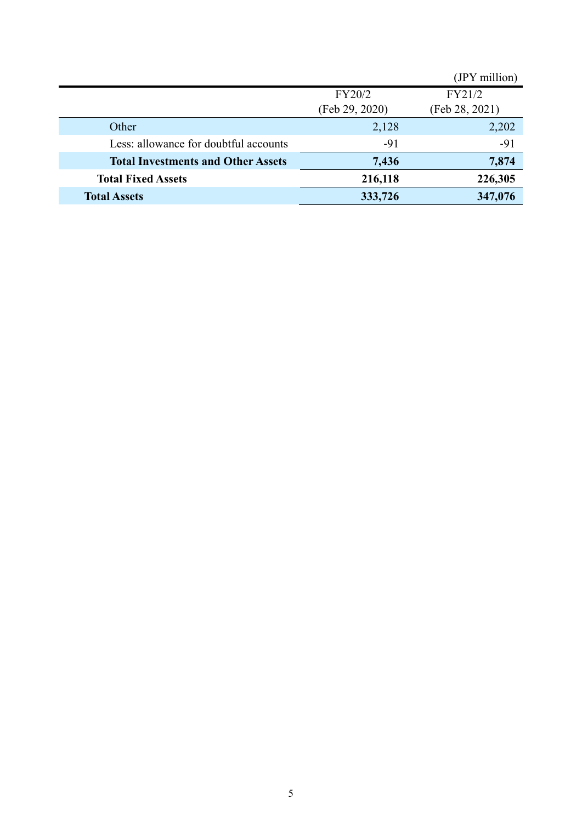|                                           |                | (JPY million)  |
|-------------------------------------------|----------------|----------------|
|                                           | FY20/2         | FY21/2         |
|                                           | (Feb 29, 2020) | (Feb 28, 2021) |
| Other                                     | 2,128          | 2,202          |
| Less: allowance for doubtful accounts     | $-91$          | $-91$          |
| <b>Total Investments and Other Assets</b> | 7,436          | 7,874          |
| <b>Total Fixed Assets</b>                 | 216,118        | 226,305        |
| <b>Total Assets</b>                       | 333,726        | 347,076        |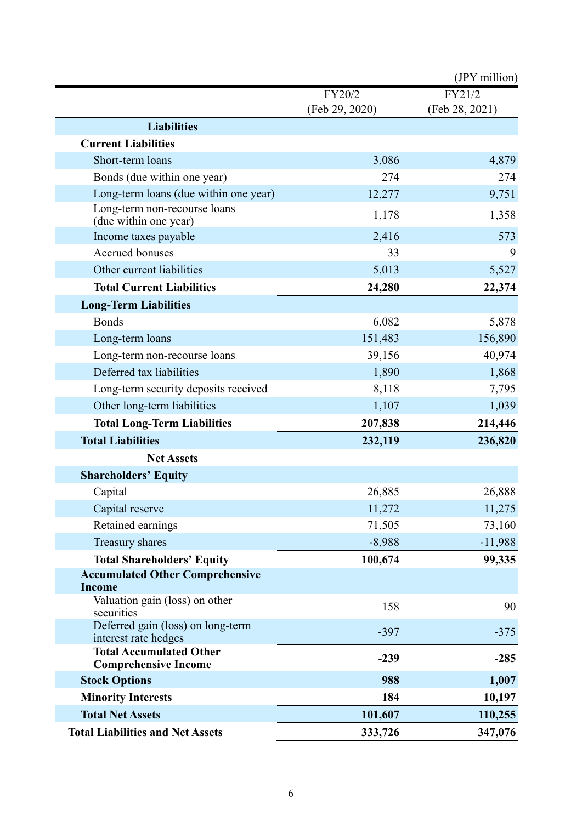|                                                               |                | (JPY million)  |
|---------------------------------------------------------------|----------------|----------------|
|                                                               | FY20/2         | FY21/2         |
|                                                               | (Feb 29, 2020) | (Feb 28, 2021) |
| <b>Liabilities</b>                                            |                |                |
| <b>Current Liabilities</b>                                    |                |                |
| Short-term loans                                              | 3,086          | 4,879          |
| Bonds (due within one year)                                   | 274            | 274            |
| Long-term loans (due within one year)                         | 12,277         | 9,751          |
| Long-term non-recourse loans<br>(due within one year)         | 1,178          | 1,358          |
| Income taxes payable                                          | 2,416          | 573            |
| <b>Accrued bonuses</b>                                        | 33             | 9              |
| Other current liabilities                                     | 5,013          | 5,527          |
| <b>Total Current Liabilities</b>                              | 24,280         | 22,374         |
| <b>Long-Term Liabilities</b>                                  |                |                |
| <b>Bonds</b>                                                  | 6,082          | 5,878          |
| Long-term loans                                               | 151,483        | 156,890        |
| Long-term non-recourse loans                                  | 39,156         | 40,974         |
| Deferred tax liabilities                                      | 1,890          | 1,868          |
| Long-term security deposits received                          | 8,118          | 7,795          |
| Other long-term liabilities                                   | 1,107          | 1,039          |
| <b>Total Long-Term Liabilities</b>                            | 207,838        | 214,446        |
| <b>Total Liabilities</b>                                      | 232,119        | 236,820        |
| <b>Net Assets</b>                                             |                |                |
| <b>Shareholders' Equity</b>                                   |                |                |
| Capital                                                       | 26,885         | 26,888         |
| Capital reserve                                               | 11,272         | 11,275         |
| Retained earnings                                             | 71,505         | 73,160         |
| Treasury shares                                               | $-8,988$       | $-11,988$      |
| <b>Total Shareholders' Equity</b>                             | 100,674        | 99,335         |
| <b>Accumulated Other Comprehensive</b>                        |                |                |
| <b>Income</b>                                                 |                |                |
| Valuation gain (loss) on other<br>securities                  | 158            | 90             |
| Deferred gain (loss) on long-term<br>interest rate hedges     | $-397$         | $-375$         |
| <b>Total Accumulated Other</b><br><b>Comprehensive Income</b> | $-239$         | $-285$         |
| <b>Stock Options</b>                                          | 988            | 1,007          |
| <b>Minority Interests</b>                                     | 184            | 10,197         |
| <b>Total Net Assets</b>                                       | 101,607        | 110,255        |
| <b>Total Liabilities and Net Assets</b>                       | 333,726        | 347,076        |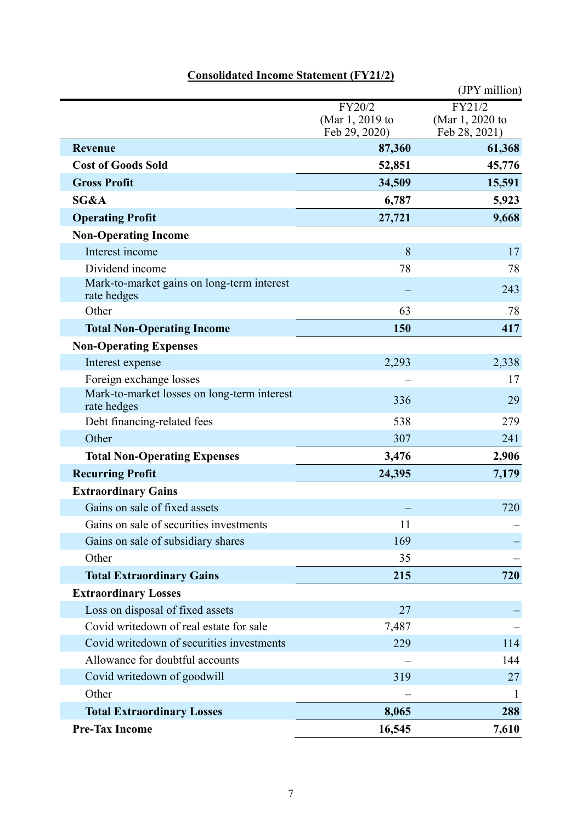|                                                            |                                            | (JPY million)                              |
|------------------------------------------------------------|--------------------------------------------|--------------------------------------------|
|                                                            | FY20/2<br>(Mar 1, 2019 to<br>Feb 29, 2020) | FY21/2<br>(Mar 1, 2020 to<br>Feb 28, 2021) |
| <b>Revenue</b>                                             | 87,360                                     | 61,368                                     |
| <b>Cost of Goods Sold</b>                                  | 52,851                                     | 45,776                                     |
| <b>Gross Profit</b>                                        | 34,509                                     | 15,591                                     |
| SG&A                                                       | 6,787                                      | 5,923                                      |
| <b>Operating Profit</b>                                    | 27,721                                     | 9,668                                      |
| <b>Non-Operating Income</b>                                |                                            |                                            |
| Interest income                                            | 8                                          | 17                                         |
| Dividend income                                            | 78                                         | 78                                         |
| Mark-to-market gains on long-term interest<br>rate hedges  |                                            | 243                                        |
| Other                                                      | 63                                         | 78                                         |
| <b>Total Non-Operating Income</b>                          | 150                                        | 417                                        |
| <b>Non-Operating Expenses</b>                              |                                            |                                            |
| Interest expense                                           | 2,293                                      | 2,338                                      |
| Foreign exchange losses                                    |                                            | 17                                         |
| Mark-to-market losses on long-term interest<br>rate hedges | 336                                        | 29                                         |
| Debt financing-related fees                                | 538                                        | 279                                        |
| Other                                                      | 307                                        | 241                                        |
| <b>Total Non-Operating Expenses</b>                        | 3,476                                      | 2,906                                      |
| <b>Recurring Profit</b>                                    | 24,395                                     | 7,179                                      |
| <b>Extraordinary Gains</b>                                 |                                            |                                            |
| Gains on sale of fixed assets                              |                                            | 720                                        |
| Gains on sale of securities investments                    | 11                                         |                                            |
| Gains on sale of subsidiary shares                         | 169                                        |                                            |
| Other                                                      | 35                                         |                                            |
| <b>Total Extraordinary Gains</b>                           | 215                                        | 720                                        |
| <b>Extraordinary Losses</b>                                |                                            |                                            |
| Loss on disposal of fixed assets                           | 27                                         |                                            |
| Covid writedown of real estate for sale                    | 7,487                                      |                                            |
| Covid writedown of securities investments                  | 229                                        | 114                                        |
| Allowance for doubtful accounts                            |                                            | 144                                        |
| Covid writedown of goodwill                                | 319                                        | 27                                         |
| Other                                                      |                                            | $\mathbf{I}$                               |
| <b>Total Extraordinary Losses</b>                          | 8,065                                      | 288                                        |
| <b>Pre-Tax Income</b>                                      | 16,545                                     | 7,610                                      |

# **Consolidated Income Statement (FY21/2)**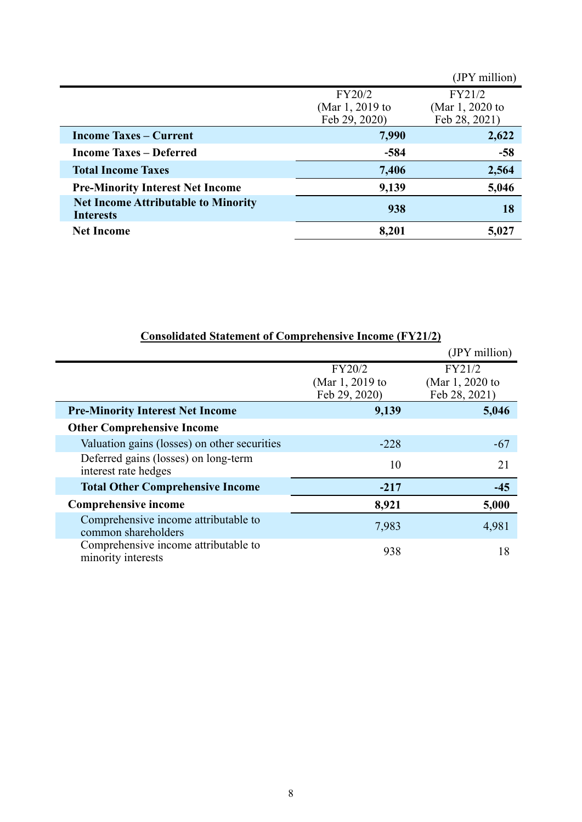|                                                                |                 | (JPY million)   |
|----------------------------------------------------------------|-----------------|-----------------|
|                                                                | FY20/2          | FY21/2          |
|                                                                | (Mar 1, 2019 to | (Mar 1, 2020 to |
|                                                                | Feb 29, 2020)   | Feb 28, 2021)   |
| <b>Income Taxes – Current</b>                                  | 7,990           | 2,622           |
| <b>Income Taxes – Deferred</b>                                 | $-584$          | $-58$           |
| <b>Total Income Taxes</b>                                      | 7,406           | 2,564           |
| <b>Pre-Minority Interest Net Income</b>                        | 9,139           | 5,046           |
| <b>Net Income Attributable to Minority</b><br><b>Interests</b> | 938             | 18              |
| <b>Net Income</b>                                              | 8,201           | 5,027           |

| $\sim$ 0 hoof and $\sim$ 0 means of $\sim$ 0 hp chemical complete $\sim$ 10 complete $\sim$ |                                            |                                            |
|---------------------------------------------------------------------------------------------|--------------------------------------------|--------------------------------------------|
|                                                                                             |                                            | (JPY million)                              |
|                                                                                             | FY20/2<br>(Mar 1, 2019 to<br>Feb 29, 2020) | FY21/2<br>(Mar 1, 2020 to<br>Feb 28, 2021) |
| <b>Pre-Minority Interest Net Income</b>                                                     | 9,139                                      | 5,046                                      |
| <b>Other Comprehensive Income</b>                                                           |                                            |                                            |
| Valuation gains (losses) on other securities                                                | $-228$                                     | $-67$                                      |
| Deferred gains (losses) on long-term<br>interest rate hedges                                | 10                                         | 21                                         |
| <b>Total Other Comprehensive Income</b>                                                     | $-217$                                     | $-45$                                      |
| <b>Comprehensive income</b>                                                                 | 8,921                                      | 5,000                                      |
| Comprehensive income attributable to<br>common shareholders                                 | 7,983                                      | 4,981                                      |
| Comprehensive income attributable to<br>minority interests                                  | 938                                        | 18                                         |

#### **Consolidated Statement of Comprehensive Income (FY21/2)**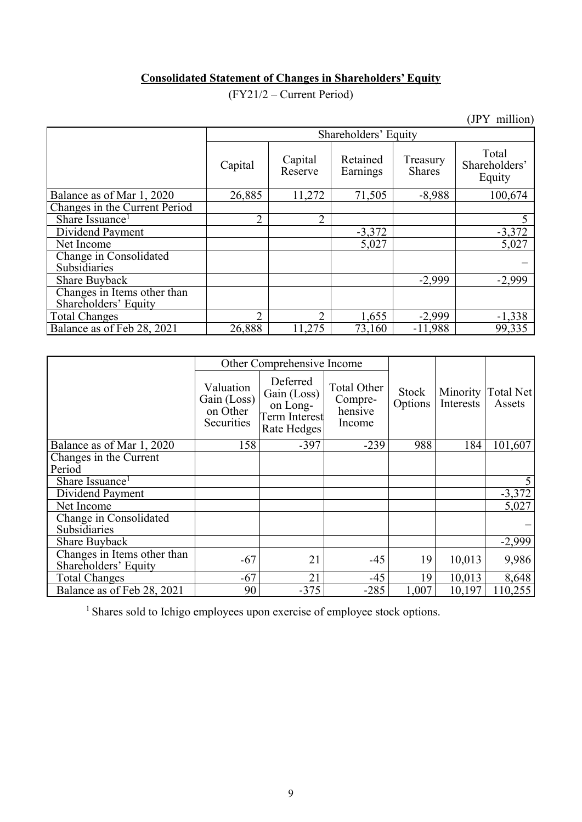# **Consolidated Statement of Changes in Shareholders' Equity**

(FY21/2 – Current Period)

(JPY million)

|                                                     | Shareholders' Equity |                    |                      |                           |                                  |  |  |  |
|-----------------------------------------------------|----------------------|--------------------|----------------------|---------------------------|----------------------------------|--|--|--|
|                                                     | Capital              | Capital<br>Reserve | Retained<br>Earnings | Treasury<br><b>Shares</b> | Total<br>Shareholders'<br>Equity |  |  |  |
| Balance as of Mar 1, 2020                           | 26,885               | 11,272             | 71,505               | $-8,988$                  | 100,674                          |  |  |  |
| Changes in the Current Period                       |                      |                    |                      |                           |                                  |  |  |  |
| Share Issuance <sup>1</sup>                         | $\overline{2}$       | $\overline{2}$     |                      |                           |                                  |  |  |  |
| Dividend Payment                                    |                      |                    | $-3,372$             |                           | $-3,372$                         |  |  |  |
| Net Income                                          |                      |                    | 5,027                |                           | 5,027                            |  |  |  |
| Change in Consolidated<br>Subsidiaries              |                      |                    |                      |                           |                                  |  |  |  |
| <b>Share Buyback</b>                                |                      |                    |                      | $-2,999$                  | $-2,999$                         |  |  |  |
| Changes in Items other than<br>Shareholders' Equity |                      |                    |                      |                           |                                  |  |  |  |
| <b>Total Changes</b>                                | っ                    | 2                  | 1,655                | $-2,999$                  | $-1,338$                         |  |  |  |
| Balance as of Feb 28, 2021                          | 26,888               | 11,275             | 73,160               | $-11,988$                 | 99,335                           |  |  |  |

|                                                     |                                                    | Other Comprehensive Income                                          |                                                    |                  |           |                                |
|-----------------------------------------------------|----------------------------------------------------|---------------------------------------------------------------------|----------------------------------------------------|------------------|-----------|--------------------------------|
|                                                     | Valuation<br>Gain (Loss)<br>on Other<br>Securities | Deferred<br>Gain (Loss)<br>on Long-<br>Term Interest<br>Rate Hedges | <b>Total Other</b><br>Compre-<br>hensive<br>Income | Stock<br>Options | Interests | Minority   Total Net<br>Assets |
| Balance as of Mar 1, 2020                           | 158                                                | $-397$                                                              | $-239$                                             | 988              | 184       | 101,607                        |
| Changes in the Current                              |                                                    |                                                                     |                                                    |                  |           |                                |
| Period                                              |                                                    |                                                                     |                                                    |                  |           |                                |
| Share Issuance <sup>1</sup>                         |                                                    |                                                                     |                                                    |                  |           |                                |
| Dividend Payment                                    |                                                    |                                                                     |                                                    |                  |           | $-3,372$                       |
| Net Income                                          |                                                    |                                                                     |                                                    |                  |           | 5,027                          |
| Change in Consolidated                              |                                                    |                                                                     |                                                    |                  |           |                                |
| Subsidiaries                                        |                                                    |                                                                     |                                                    |                  |           |                                |
| <b>Share Buyback</b>                                |                                                    |                                                                     |                                                    |                  |           | $-2,999$                       |
| Changes in Items other than<br>Shareholders' Equity | $-67$                                              | 21                                                                  | $-45$                                              | 19               | 10,013    | 9,986                          |
| <b>Total Changes</b>                                | $-67$                                              | 21                                                                  | $-45$                                              | 19               | 10,013    | 8,648                          |
| Balance as of Feb 28, 2021                          | 90                                                 | $-375$                                                              | $-285$                                             | 1,007            | 10,197    | 110,255                        |

<sup>1</sup> Shares sold to Ichigo employees upon exercise of employee stock options.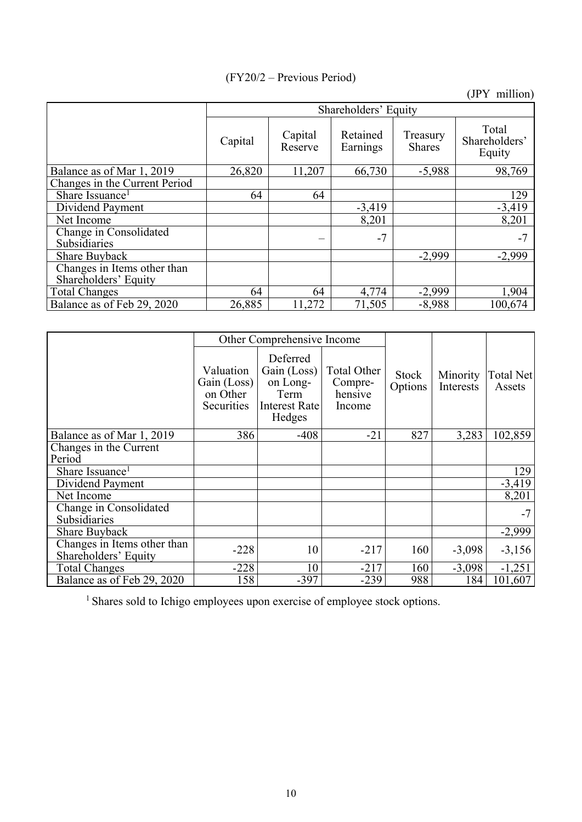# (FY20/2 – Previous Period)

(JPY million)

|                                                     |         | Shareholders' Equity |                      |                           |                                  |  |  |  |  |
|-----------------------------------------------------|---------|----------------------|----------------------|---------------------------|----------------------------------|--|--|--|--|
|                                                     | Capital | Capital<br>Reserve   | Retained<br>Earnings | Treasury<br><b>Shares</b> | Total<br>Shareholders'<br>Equity |  |  |  |  |
| Balance as of Mar 1, 2019                           | 26,820  | 11,207               | 66,730               | $-5,988$                  | 98,769                           |  |  |  |  |
| Changes in the Current Period                       |         |                      |                      |                           |                                  |  |  |  |  |
| Share Issuance <sup>1</sup>                         | 64      | 64                   |                      |                           | 129                              |  |  |  |  |
| Dividend Payment                                    |         |                      | $-3,419$             |                           | $-3,419$                         |  |  |  |  |
| Net Income                                          |         |                      | 8,201                |                           | 8,201                            |  |  |  |  |
| Change in Consolidated<br><b>Subsidiaries</b>       |         |                      | $-7$                 |                           | $-7$                             |  |  |  |  |
| <b>Share Buyback</b>                                |         |                      |                      | $-2,999$                  | $-2,999$                         |  |  |  |  |
| Changes in Items other than<br>Shareholders' Equity |         |                      |                      |                           |                                  |  |  |  |  |
| <b>Total Changes</b>                                | 64      | 64                   | 4,774                | $-2,999$                  | 1,904                            |  |  |  |  |
| Balance as of Feb 29, 2020                          | 26,885  | 11,272               | 71,505               | $-8,988$                  | 100,674                          |  |  |  |  |

|                                                     |                                                           | Other Comprehensive Income                                             |                                             |                         |                       |                     |
|-----------------------------------------------------|-----------------------------------------------------------|------------------------------------------------------------------------|---------------------------------------------|-------------------------|-----------------------|---------------------|
|                                                     | Valuation<br>Gain (Loss)<br>on Other<br><b>Securities</b> | Deferred<br>Gain (Loss)<br>on Long-<br>Term<br>Interest Rate<br>Hedges | Total Other<br>Compre-<br>hensive<br>Income | <b>Stock</b><br>Options | Minority<br>Interests | Total Net<br>Assets |
| Balance as of Mar 1, 2019                           | 386                                                       | $-408$                                                                 | $-21$                                       | 827                     | 3,283                 | 102,859             |
| Changes in the Current                              |                                                           |                                                                        |                                             |                         |                       |                     |
| Period                                              |                                                           |                                                                        |                                             |                         |                       |                     |
| Share Issuance <sup>1</sup>                         |                                                           |                                                                        |                                             |                         |                       | 129                 |
| Dividend Payment                                    |                                                           |                                                                        |                                             |                         |                       | $-3,419$            |
| Net Income                                          |                                                           |                                                                        |                                             |                         |                       | 8,201               |
| Change in Consolidated                              |                                                           |                                                                        |                                             |                         |                       | $-7$                |
| Subsidiaries                                        |                                                           |                                                                        |                                             |                         |                       |                     |
| <b>Share Buyback</b>                                |                                                           |                                                                        |                                             |                         |                       | $-2,999$            |
| Changes in Items other than<br>Shareholders' Equity | $-228$                                                    | 10                                                                     | $-217$                                      | 160                     | $-3,098$              | $-3,156$            |
| <b>Total Changes</b>                                | $-228$                                                    | 10                                                                     | $-217$                                      | 160                     | $-3,098$              | $-1,251$            |
| Balance as of Feb 29, 2020                          | 158                                                       | $-397$                                                                 | $-239$                                      | 988                     | 184                   | 101,607             |

<sup>1</sup> Shares sold to Ichigo employees upon exercise of employee stock options.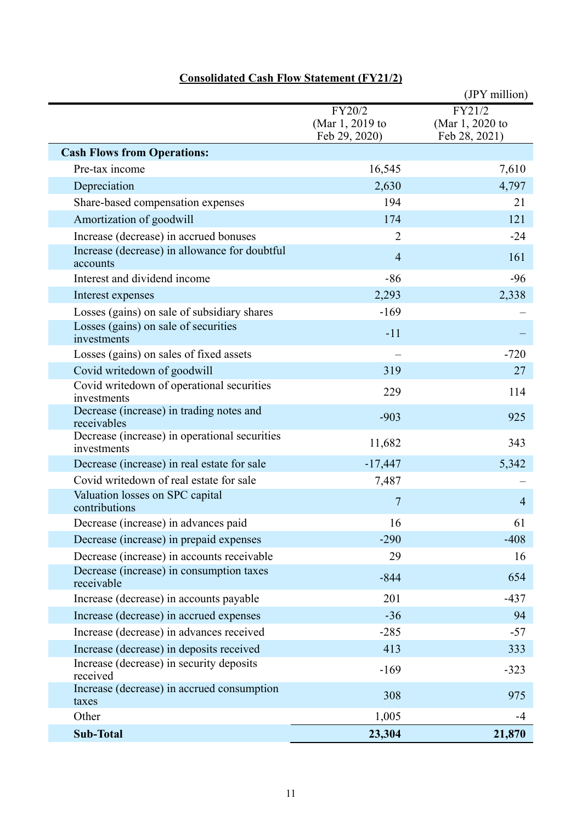|                                                              |                                            | (JPY million)                              |
|--------------------------------------------------------------|--------------------------------------------|--------------------------------------------|
|                                                              | FY20/2<br>(Mar 1, 2019 to<br>Feb 29, 2020) | FY21/2<br>(Mar 1, 2020 to<br>Feb 28, 2021) |
| <b>Cash Flows from Operations:</b>                           |                                            |                                            |
| Pre-tax income                                               | 16,545                                     | 7,610                                      |
| Depreciation                                                 | 2,630                                      | 4,797                                      |
| Share-based compensation expenses                            | 194                                        | 21                                         |
| Amortization of goodwill                                     | 174                                        | 121                                        |
| Increase (decrease) in accrued bonuses                       | $\overline{2}$                             | $-24$                                      |
| Increase (decrease) in allowance for doubtful<br>accounts    | $\overline{4}$                             | 161                                        |
| Interest and dividend income                                 | $-86$                                      | $-96$                                      |
| Interest expenses                                            | 2,293                                      | 2,338                                      |
| Losses (gains) on sale of subsidiary shares                  | $-169$                                     |                                            |
| Losses (gains) on sale of securities<br>investments          | $-11$                                      |                                            |
| Losses (gains) on sales of fixed assets                      |                                            | $-720$                                     |
| Covid writedown of goodwill                                  | 319                                        | 27                                         |
| Covid writedown of operational securities<br>investments     | 229                                        | 114                                        |
| Decrease (increase) in trading notes and<br>receivables      | $-903$                                     | 925                                        |
| Decrease (increase) in operational securities<br>investments | 11,682                                     | 343                                        |
| Decrease (increase) in real estate for sale                  | $-17,447$                                  | 5,342                                      |
| Covid writedown of real estate for sale                      | 7,487                                      |                                            |
| Valuation losses on SPC capital<br>contributions             | 7                                          | $\overline{4}$                             |
| Decrease (increase) in advances paid                         | 16                                         | 61                                         |
| Decrease (increase) in prepaid expenses                      | $-290$                                     | $-408$                                     |
| Decrease (increase) in accounts receivable                   | 29                                         | 16                                         |
| Decrease (increase) in consumption taxes<br>receivable       | $-844$                                     | 654                                        |
| Increase (decrease) in accounts payable                      | 201                                        | $-437$                                     |
| Increase (decrease) in accrued expenses                      | $-36$                                      | 94                                         |
| Increase (decrease) in advances received                     | $-285$                                     | $-57$                                      |
| Increase (decrease) in deposits received                     | 413                                        | 333                                        |
| Increase (decrease) in security deposits<br>received         | $-169$                                     | $-323$                                     |
| Increase (decrease) in accrued consumption<br>taxes          | 308                                        | 975                                        |
| Other                                                        | 1,005                                      | -4                                         |
| <b>Sub-Total</b>                                             | 23,304                                     | 21,870                                     |

# **Consolidated Cash Flow Statement (FY21/2)**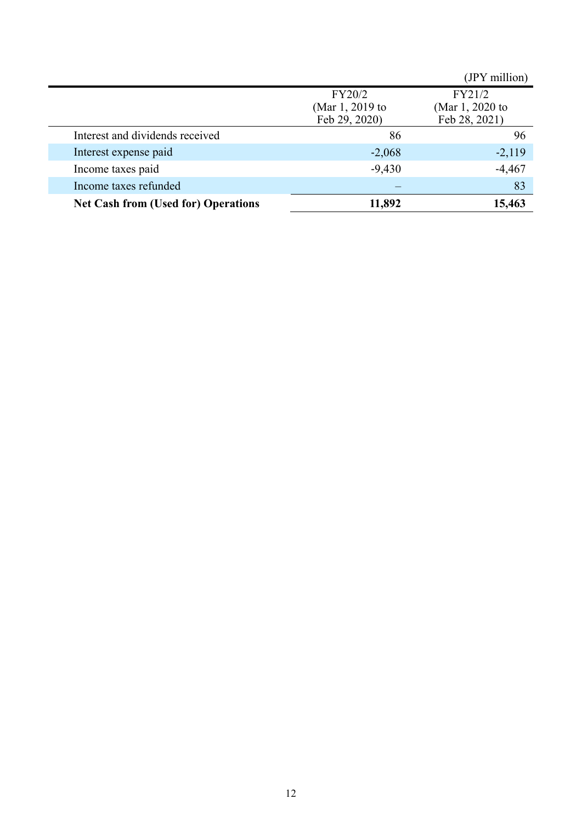|                                            |                                            | (JPY million)                              |
|--------------------------------------------|--------------------------------------------|--------------------------------------------|
|                                            | FY20/2<br>(Mar 1, 2019 to<br>Feb 29, 2020) | FY21/2<br>(Mar 1, 2020 to<br>Feb 28, 2021) |
| Interest and dividends received            | 86                                         | 96                                         |
| Interest expense paid                      | $-2,068$                                   | $-2,119$                                   |
| Income taxes paid                          | $-9,430$                                   | $-4,467$                                   |
| Income taxes refunded                      |                                            | 83                                         |
| <b>Net Cash from (Used for) Operations</b> | 11,892                                     | 15,463                                     |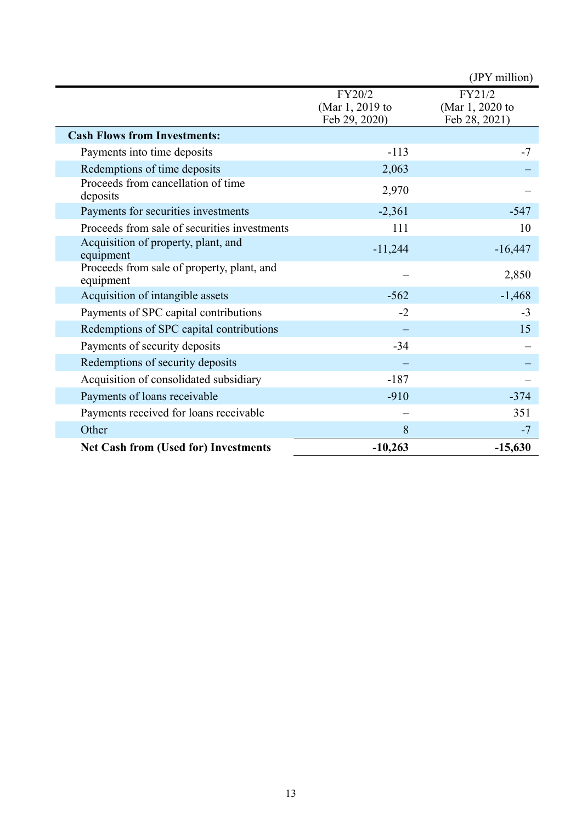|                                                         |                                            | (JPY million)                              |
|---------------------------------------------------------|--------------------------------------------|--------------------------------------------|
|                                                         | FY20/2<br>(Mar 1, 2019 to<br>Feb 29, 2020) | FY21/2<br>(Mar 1, 2020 to<br>Feb 28, 2021) |
| <b>Cash Flows from Investments:</b>                     |                                            |                                            |
| Payments into time deposits                             | $-113$                                     | $-7$                                       |
| Redemptions of time deposits                            | 2,063                                      |                                            |
| Proceeds from cancellation of time<br>deposits          | 2,970                                      |                                            |
| Payments for securities investments                     | $-2,361$                                   | $-547$                                     |
| Proceeds from sale of securities investments            | 111                                        | 10                                         |
| Acquisition of property, plant, and<br>equipment        | $-11,244$                                  | $-16,447$                                  |
| Proceeds from sale of property, plant, and<br>equipment |                                            | 2,850                                      |
| Acquisition of intangible assets                        | $-562$                                     | $-1,468$                                   |
| Payments of SPC capital contributions                   | $-2$                                       | $-3$                                       |
| Redemptions of SPC capital contributions                |                                            | 15                                         |
| Payments of security deposits                           | $-34$                                      |                                            |
| Redemptions of security deposits                        |                                            |                                            |
| Acquisition of consolidated subsidiary                  | $-187$                                     |                                            |
| Payments of loans receivable                            | $-910$                                     | $-374$                                     |
| Payments received for loans receivable                  |                                            | 351                                        |
| Other                                                   | 8                                          | $-7$                                       |
| <b>Net Cash from (Used for) Investments</b>             | $-10,263$                                  | $-15,630$                                  |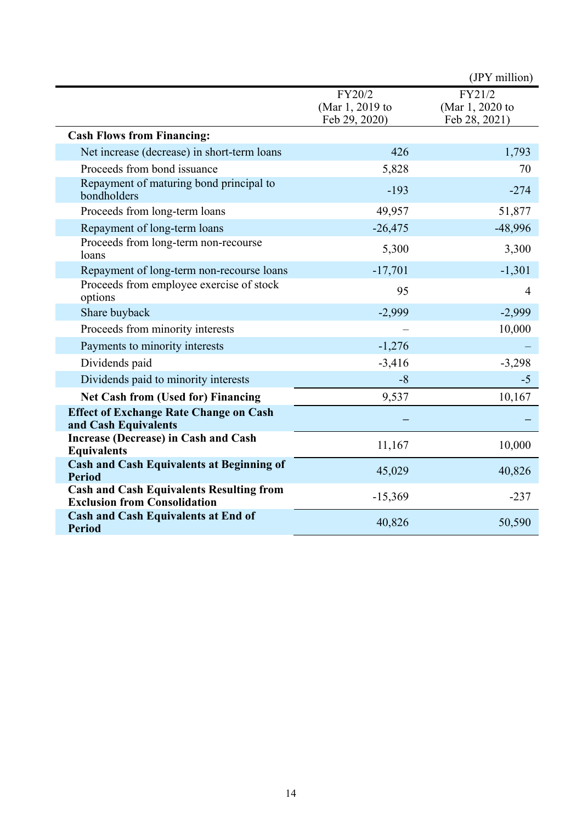|                                                                                        |                           | (JPY million)             |
|----------------------------------------------------------------------------------------|---------------------------|---------------------------|
|                                                                                        | FY20/2<br>(Mar 1, 2019 to | FY21/2<br>(Mar 1, 2020 to |
|                                                                                        | Feb 29, 2020)             | Feb 28, 2021)             |
| <b>Cash Flows from Financing:</b>                                                      |                           |                           |
| Net increase (decrease) in short-term loans                                            | 426                       | 1,793                     |
| Proceeds from bond issuance                                                            | 5,828                     | 70                        |
| Repayment of maturing bond principal to<br>bondholders                                 | $-193$                    | $-274$                    |
| Proceeds from long-term loans                                                          | 49,957                    | 51,877                    |
| Repayment of long-term loans                                                           | $-26,475$                 | -48,996                   |
| Proceeds from long-term non-recourse<br>loans                                          | 5,300                     | 3,300                     |
| Repayment of long-term non-recourse loans                                              | $-17,701$                 | $-1,301$                  |
| Proceeds from employee exercise of stock<br>options                                    | 95                        | $\overline{4}$            |
| Share buyback                                                                          | $-2,999$                  | $-2,999$                  |
| Proceeds from minority interests                                                       |                           | 10,000                    |
| Payments to minority interests                                                         | $-1,276$                  |                           |
| Dividends paid                                                                         | $-3,416$                  | $-3,298$                  |
| Dividends paid to minority interests                                                   | $-8$                      | $-5$                      |
| <b>Net Cash from (Used for) Financing</b>                                              | 9,537                     | 10,167                    |
| <b>Effect of Exchange Rate Change on Cash</b><br>and Cash Equivalents                  |                           |                           |
| Increase (Decrease) in Cash and Cash<br><b>Equivalents</b>                             | 11,167                    | 10,000                    |
| <b>Cash and Cash Equivalents at Beginning of</b><br><b>Period</b>                      | 45,029                    | 40,826                    |
| <b>Cash and Cash Equivalents Resulting from</b><br><b>Exclusion from Consolidation</b> | $-15,369$                 | $-237$                    |
| <b>Cash and Cash Equivalents at End of</b><br><b>Period</b>                            | 40,826                    | 50,590                    |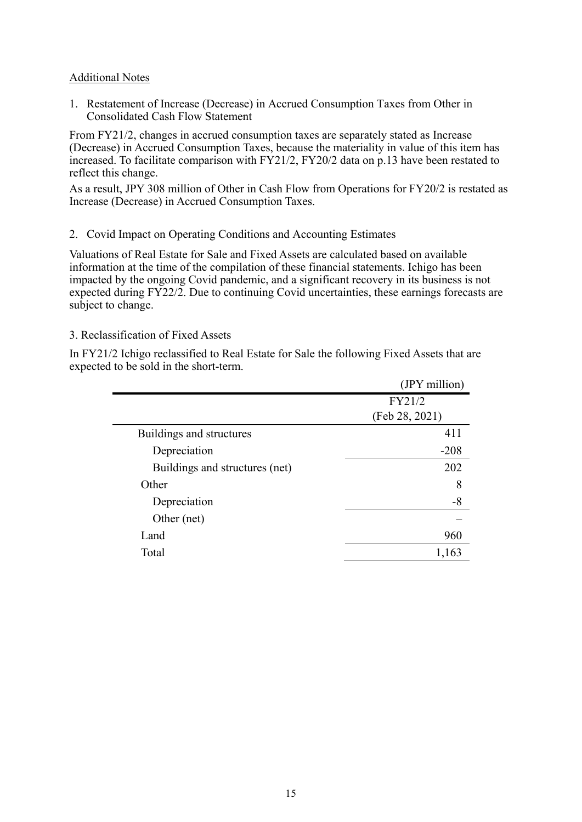#### Additional Notes

1. Restatement of Increase (Decrease) in Accrued Consumption Taxes from Other in Consolidated Cash Flow Statement

From FY21/2, changes in accrued consumption taxes are separately stated as Increase (Decrease) in Accrued Consumption Taxes, because the materiality in value of this item has increased. To facilitate comparison with FY21/2, FY20/2 data on p.13 have been restated to reflect this change.

As a result, JPY 308 million of Other in Cash Flow from Operations for FY20/2 is restated as Increase (Decrease) in Accrued Consumption Taxes.

#### 2. Covid Impact on Operating Conditions and Accounting Estimates

Valuations of Real Estate for Sale and Fixed Assets are calculated based on available information at the time of the compilation of these financial statements. Ichigo has been impacted by the ongoing Covid pandemic, and a significant recovery in its business is not expected during FY22/2. Due to continuing Covid uncertainties, these earnings forecasts are subject to change.

#### 3. Reclassification of Fixed Assets

In FY21/2 Ichigo reclassified to Real Estate for Sale the following Fixed Assets that are expected to be sold in the short-term.

|                                | (JPY million)  |
|--------------------------------|----------------|
|                                | FY21/2         |
|                                | (Feb 28, 2021) |
| Buildings and structures       | 411            |
| Depreciation                   | $-208$         |
| Buildings and structures (net) | 202            |
| Other                          | 8              |
| Depreciation                   | $-8$           |
| Other (net)                    |                |
| Land                           | 960            |
| Total                          | 1,163          |
|                                |                |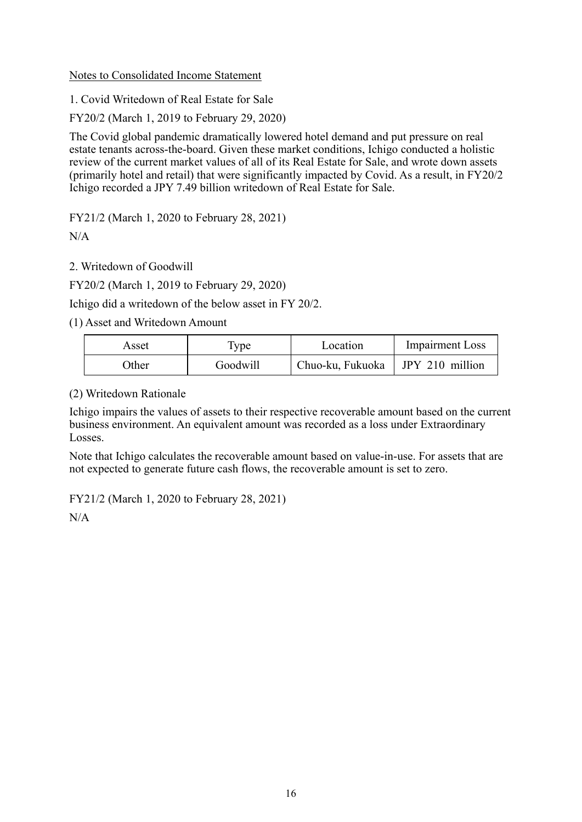#### Notes to Consolidated Income Statement

1. Covid Writedown of Real Estate for Sale

FY20/2 (March 1, 2019 to February 29, 2020)

The Covid global pandemic dramatically lowered hotel demand and put pressure on real estate tenants across-the-board. Given these market conditions, Ichigo conducted a holistic review of the current market values of all of its Real Estate for Sale, and wrote down assets (primarily hotel and retail) that were significantly impacted by Covid. As a result, in FY20/2 Ichigo recorded a JPY 7.49 billion writedown of Real Estate for Sale.

FY21/2 (March 1, 2020 to February 28, 2021)

 $N/A$ 

2. Writedown of Goodwill

FY20/2 (March 1, 2019 to February 29, 2020)

Ichigo did a writedown of the below asset in FY 20/2.

(1) Asset and Writedown Amount

| Asset | $1$ Vpe  | Location                           | <b>Impairment Loss</b> |
|-------|----------|------------------------------------|------------------------|
| Other | Goodwill | Chuo-ku, Fukuoka   JPY 210 million |                        |

(2) Writedown Rationale

Ichigo impairs the values of assets to their respective recoverable amount based on the current business environment. An equivalent amount was recorded as a loss under Extraordinary Losses.

Note that Ichigo calculates the recoverable amount based on value-in-use. For assets that are not expected to generate future cash flows, the recoverable amount is set to zero.

FY21/2 (March 1, 2020 to February 28, 2021)

 $N/A$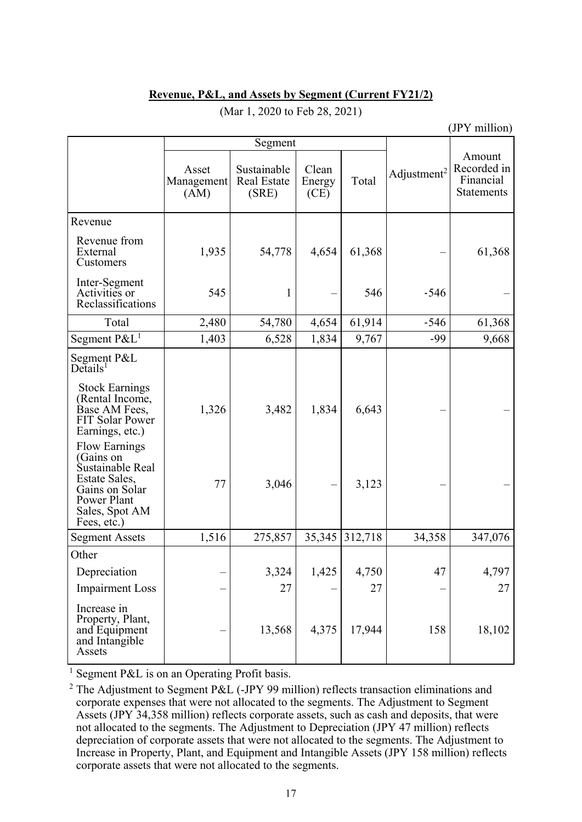#### **Revenue, P&L, and Assets by Segment (Current FY21/2)**

| (JPY million)                                                                                                                            |                             |                                            |                         |         |                         |                                                         |
|------------------------------------------------------------------------------------------------------------------------------------------|-----------------------------|--------------------------------------------|-------------------------|---------|-------------------------|---------------------------------------------------------|
|                                                                                                                                          |                             | Segment                                    |                         |         |                         |                                                         |
|                                                                                                                                          | Asset<br>Management<br>(AM) | Sustainable<br><b>Real Estate</b><br>(SRE) | Clean<br>Energy<br>(CE) | Total   | Adjustment <sup>2</sup> | Amount<br>Recorded in<br>Financial<br><b>Statements</b> |
| Revenue                                                                                                                                  |                             |                                            |                         |         |                         |                                                         |
| Revenue from<br>External<br>Customers                                                                                                    | 1,935                       | 54,778                                     | 4,654                   | 61,368  |                         | 61,368                                                  |
| Inter-Segment<br>Activities or<br>Reclassifications                                                                                      | 545                         | 1                                          |                         | 546     | $-546$                  |                                                         |
| Total                                                                                                                                    | 2,480                       | 54,780                                     | 4,654                   | 61,914  | $-546$                  | 61,368                                                  |
| Segment $P\&L^1$                                                                                                                         | 1,403                       | 6,528                                      | 1,834                   | 9,767   | $-99$                   | 9,668                                                   |
| Segment P&L<br>$De$ tails <sup>1</sup>                                                                                                   |                             |                                            |                         |         |                         |                                                         |
| <b>Stock Earnings</b><br>(Rental Income,<br>Base AM Fees,<br><b>FIT Solar Power</b><br>Earnings, etc.)                                   | 1,326                       | 3,482                                      | 1,834                   | 6,643   |                         |                                                         |
| <b>Flow Earnings</b><br>(Gains on<br>Sustainable Real<br>Estate Sales,<br>Gains on Solar<br>Power Plant<br>Sales, Spot AM<br>Fees, etc.) | 77                          | 3,046                                      |                         | 3,123   |                         |                                                         |
| <b>Segment Assets</b>                                                                                                                    | 1,516                       | 275,857                                    | 35,345                  | 312,718 | 34,358                  | 347,076                                                 |
| Other                                                                                                                                    |                             |                                            |                         |         |                         |                                                         |
| Depreciation                                                                                                                             |                             | 3,324                                      | 1,425                   | 4,750   | 47                      | 4,797                                                   |
| <b>Impairment Loss</b>                                                                                                                   |                             | 27                                         |                         | 27      |                         | 27                                                      |
| Increase in<br>Property, Plant,<br>and Equipment<br>and Intangible<br>Assets                                                             |                             | 13,568                                     | 4,375                   | 17,944  | 158                     | 18,102                                                  |

## (Mar 1, 2020 to Feb 28, 2021)

<sup>1</sup> Segment P&L is on an Operating Profit basis.

<sup>2</sup> The Adjustment to Segment P&L (-JPY 99 million) reflects transaction eliminations and corporate expenses that were not allocated to the segments. The Adjustment to Segment Assets (JPY 34,358 million) reflects corporate assets, such as cash and deposits, that were not allocated to the segments. The Adjustment to Depreciation (JPY 47 million) reflects depreciation of corporate assets that were not allocated to the segments. The Adjustment to Increase in Property, Plant, and Equipment and Intangible Assets (JPY 158 million) reflects corporate assets that were not allocated to the segments.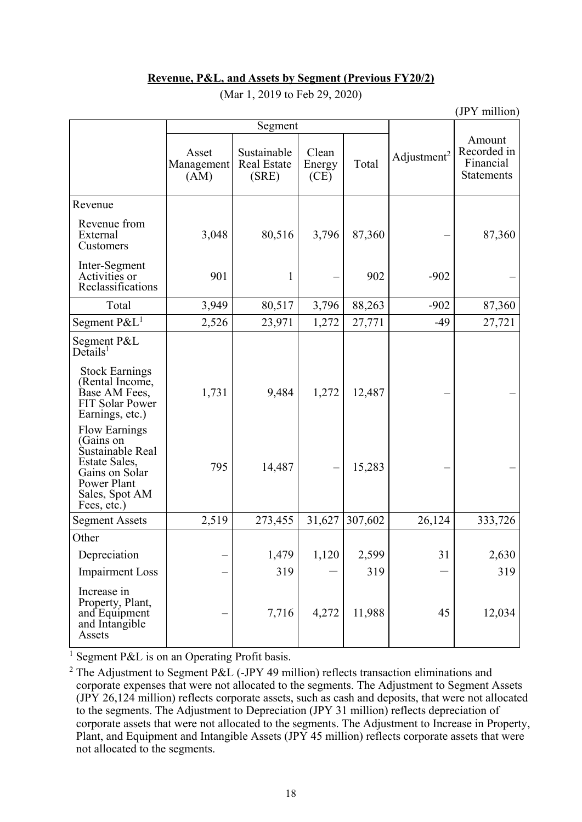#### **Revenue, P&L, and Assets by Segment (Previous FY20/2)**

|                                                                                                                                          | Segment                     |                                            |                         |         |                         |                                                         |
|------------------------------------------------------------------------------------------------------------------------------------------|-----------------------------|--------------------------------------------|-------------------------|---------|-------------------------|---------------------------------------------------------|
|                                                                                                                                          | Asset<br>Management<br>(AM) | Sustainable<br><b>Real Estate</b><br>(SRE) | Clean<br>Energy<br>(CE) | Total   | Adjustment <sup>2</sup> | Amount<br>Recorded in<br>Financial<br><b>Statements</b> |
| Revenue                                                                                                                                  |                             |                                            |                         |         |                         |                                                         |
| Revenue from<br>External<br>Customers                                                                                                    | 3,048                       | 80,516                                     | 3,796                   | 87,360  |                         | 87,360                                                  |
| Inter-Segment<br>Activities or<br>Reclassifications                                                                                      | 901                         | 1                                          |                         | 902     | $-902$                  |                                                         |
| Total                                                                                                                                    | 3,949                       | 80,517                                     | 3,796                   | 88,263  | $-902$                  | 87,360                                                  |
| Segment P&L <sup>1</sup>                                                                                                                 | 2,526                       | 23,971                                     | 1,272                   | 27,771  | $-49$                   | 27,721                                                  |
| Segment P&L<br>$De$ tails <sup>1</sup>                                                                                                   |                             |                                            |                         |         |                         |                                                         |
| <b>Stock Earnings</b><br>(Rental Income,<br>Base AM Fees,<br>FIT Solar Power<br>Earnings, etc.)                                          | 1,731                       | 9,484                                      | 1,272                   | 12,487  |                         |                                                         |
| <b>Flow Earnings</b><br>(Gains on<br>Sustainable Real<br>Estate Sales,<br>Gains on Solar<br>Power Plant<br>Sales, Spot AM<br>Fees, etc.) | 795                         | 14,487                                     |                         | 15,283  |                         |                                                         |
| <b>Segment Assets</b>                                                                                                                    | 2,519                       | 273,455                                    | 31,627                  | 307,602 | 26,124                  | 333,726                                                 |
| Other                                                                                                                                    |                             |                                            |                         |         |                         |                                                         |
| Depreciation                                                                                                                             |                             | 1,479                                      | 1,120                   | 2,599   | 31                      | 2,630                                                   |
| <b>Impairment Loss</b>                                                                                                                   |                             | 319                                        |                         | 319     |                         | 319                                                     |
| Increase in<br>Property, Plant,<br>and Equipment<br>and Intangible<br>Assets                                                             |                             | 7,716                                      | 4,272                   | 11,988  | 45                      | 12,034                                                  |

#### (Mar 1, 2019 to Feb 29, 2020)

(JPY million)

<sup>1</sup> Segment P&L is on an Operating Profit basis.

<sup>2</sup> The Adjustment to Segment P&L (-JPY 49 million) reflects transaction eliminations and corporate expenses that were not allocated to the segments. The Adjustment to Segment Assets (JPY 26,124 million) reflects corporate assets, such as cash and deposits, that were not allocated to the segments. The Adjustment to Depreciation (JPY 31 million) reflects depreciation of corporate assets that were not allocated to the segments. The Adjustment to Increase in Property, Plant, and Equipment and Intangible Assets (JPY 45 million) reflects corporate assets that were not allocated to the segments.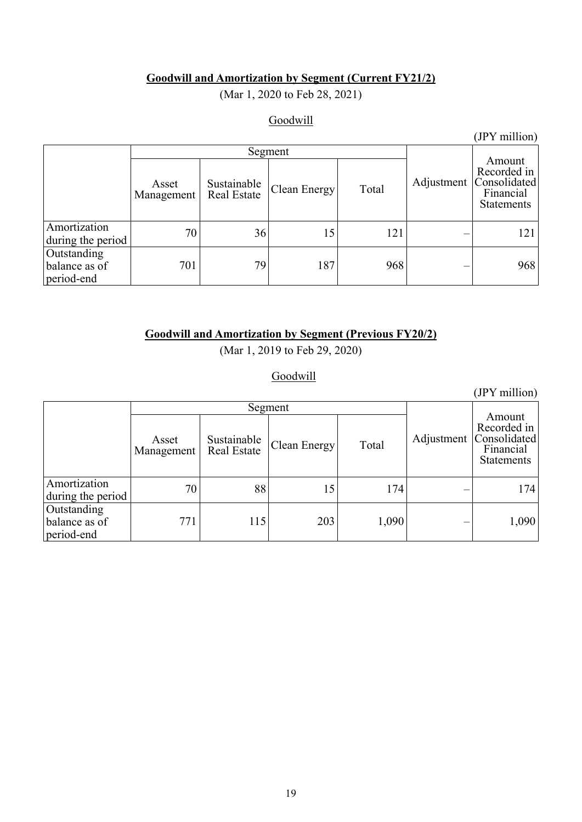## **Goodwill and Amortization by Segment (Current FY21/2)**

(Mar 1, 2020 to Feb 28, 2021)

# **Goodwill**

|                                            |                     |                                   |              |       |            | (JPY million)                                                           |
|--------------------------------------------|---------------------|-----------------------------------|--------------|-------|------------|-------------------------------------------------------------------------|
|                                            | Segment             |                                   |              |       |            |                                                                         |
|                                            | Asset<br>Management | Sustainable<br><b>Real Estate</b> | Clean Energy | Total | Adjustment | Amount<br>Recorded in<br>Consolidated<br>Financial<br><b>Statements</b> |
| Amortization<br>during the period          | 70                  | 36                                | 15           | 121   |            | 121                                                                     |
| Outstanding<br>balance as of<br>period-end | 701                 | 79                                | 187          | 968   |            | 968                                                                     |

# **Goodwill and Amortization by Segment (Previous FY20/2)**

(Mar 1, 2019 to Feb 29, 2020)

**Goodwill** 

|                                            |                     |                                   |              |       |            | (JPY million)                                                           |
|--------------------------------------------|---------------------|-----------------------------------|--------------|-------|------------|-------------------------------------------------------------------------|
|                                            | Segment             |                                   |              |       |            |                                                                         |
|                                            | Asset<br>Management | Sustainable<br><b>Real Estate</b> | Clean Energy | Total | Adjustment | Amount<br>Recorded in<br>Consolidated<br>Financial<br><b>Statements</b> |
| Amortization<br>during the period          | 70                  | 88                                |              | 174   |            | 174                                                                     |
| Outstanding<br>balance as of<br>period-end | 771                 | 115                               | 203          | 1,090 |            | 1,090                                                                   |